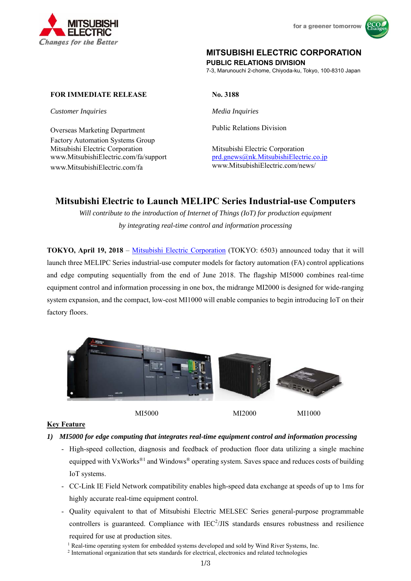



# **MITSUBISHI ELECTRIC CORPORATION**

**PUBLIC RELATIONS DIVISION** 

7-3, Marunouchi 2-chome, Chiyoda-ku, Tokyo, 100-8310 Japan

# **FOR IMMEDIATE RELEASE** No. 3188

*Customer Inquiries Media Inquiries* 

Overseas Marketing Department Factory Automation Systems Group Mitsubishi Electric Corporation Mitsubishi Electric Corporation www.MitsubishiElectric.com/fa/support prd.gnews@nk.MitsubishiElectric.co.jp www.MitsubishiElectric.com/fa www.MitsubishiElectric.com/news/

Public Relations Division

# **Mitsubishi Electric to Launch MELIPC Series Industrial-use Computers**

*Will contribute to the introduction of Internet of Things (IoT) for production equipment by integrating real-time control and information processing*

**TOKYO, April 19, 2018** – Mitsubishi Electric Corporation (TOKYO: 6503) announced today that it will launch three MELIPC Series industrial-use computer models for factory automation (FA) control applications and edge computing sequentially from the end of June 2018. The flagship MI5000 combines real-time equipment control and information processing in one box, the midrange MI2000 is designed for wide-ranging system expansion, and the compact, low-cost MI1000 will enable companies to begin introducing IoT on their factory floors.



MI5000

MI2000 MI1000

#### **Key Feature**

- *1) MI5000 for edge computing that integrates real-time equipment control and information processing* 
	- High-speed collection, diagnosis and feedback of production floor data utilizing a single machine equipped with VxWorks<sup>®1</sup> and Windows<sup>®</sup> operating system. Saves space and reduces costs of building IoT systems.
	- CC-Link IE Field Network compatibility enables high-speed data exchange at speeds of up to 1ms for highly accurate real-time equipment control.
	- Quality equivalent to that of Mitsubishi Electric MELSEC Series general-purpose programmable controllers is guaranteed. Compliance with  $IEC<sup>2</sup>/JIS$  standards ensures robustness and resilience

required for use at production sites.<br><sup>1</sup> Real-time operating system for embedded systems developed and sold by Wind River Systems, Inc.<br><sup>2</sup> International organization that sets standards for electrical, electronics and re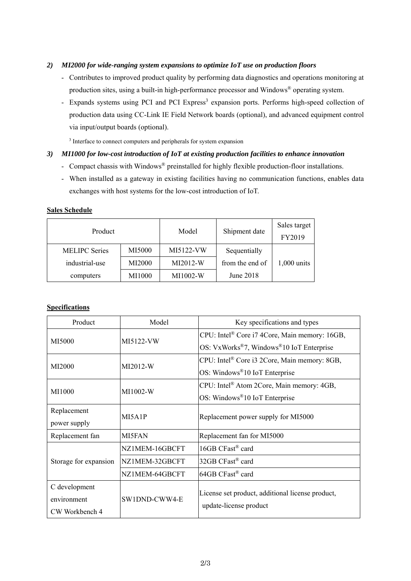#### *2) MI2000 for wide-ranging system expansions to optimize IoT use on production floors*

- Contributes to improved product quality by performing data diagnostics and operations monitoring at production sites, using a built-in high-performance processor and Windows® operating system.
- Expands systems using PCI and PCI Express<sup>3</sup> expansion ports. Performs high-speed collection of production data using CC-Link IE Field Network boards (optional), and advanced equipment control via input/output boards (optional).

<sup>3</sup> Interface to connect computers and peripherals for system expansion

#### *3) MI1000 for low-cost introduction of IoT at existing production facilities to enhance innovation*

- Compact chassis with Windows® preinstalled for highly flexible production-floor installations.
- When installed as a gateway in existing facilities having no communication functions, enables data exchanges with host systems for the low-cost introduction of IoT.

| Product              |        | Model      | Shipment date   | Sales target<br>FY2019 |
|----------------------|--------|------------|-----------------|------------------------|
| <b>MELIPC</b> Series | MI5000 | MI5122-VW  | Sequentially    |                        |
| industrial-use       | MI2000 | $MI2012-W$ | from the end of | $1,000$ units          |
| computers            | MI1000 | MI1002-W   | June 2018       |                        |

## **Sales Schedule**

# **Specifications**

| Product               | Model          | Key specifications and types                                               |  |
|-----------------------|----------------|----------------------------------------------------------------------------|--|
| MI5000                |                | CPU: Intel <sup>®</sup> Core i7 4Core, Main memory: 16GB,                  |  |
|                       | MI5122-VW      | OS: VxWorks <sup>®</sup> 7, Windows <sup>®</sup> 10 IoT Enterprise         |  |
| MI2000                |                | CPU: Intel <sup>®</sup> Core i3 2Core, Main memory: 8GB,                   |  |
|                       | MI2012-W       | OS: Windows®10 IoT Enterprise                                              |  |
| MI1000                |                | CPU: Intel <sup>®</sup> Atom 2Core, Main memory: 4GB,                      |  |
|                       | $M11002-W$     | OS: Windows <sup>®</sup> 10 IoT Enterprise                                 |  |
| Replacement           |                | Replacement power supply for MI5000                                        |  |
| power supply          | MI5A1P         |                                                                            |  |
| Replacement fan       | MI5FAN         | Replacement fan for MI5000                                                 |  |
| Storage for expansion | NZ1MEM-16GBCFT | 16GB CFast® card                                                           |  |
|                       | NZ1MEM-32GBCFT | 32GB CFast® card                                                           |  |
|                       | NZ1MEM-64GBCFT | 64GB CFast® card                                                           |  |
| C development         |                |                                                                            |  |
| environment           | SW1DND-CWW4-E  | License set product, additional license product,<br>update-license product |  |
| CW Workbench 4        |                |                                                                            |  |